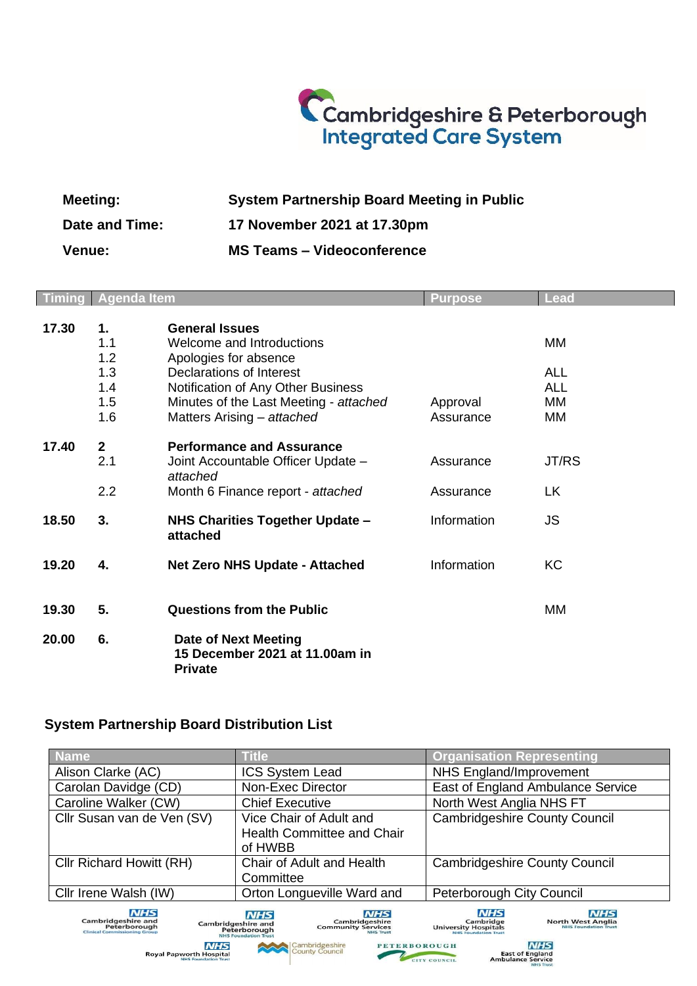## Cambridgeshire & Peterborough<br>Integrated Care System

| <b>Meeting:</b> | <b>System Partnership Board Meeting in Public</b> |
|-----------------|---------------------------------------------------|
| Date and Time:  | 17 November 2021 at 17.30pm                       |
| <b>Venue:</b>   | <b>MS Teams - Videoconference</b>                 |

|       | <b>Timing Agenda Item</b>  |                                                                                                                                        | <b>Purpose</b>         | <b>Lead</b>                          |
|-------|----------------------------|----------------------------------------------------------------------------------------------------------------------------------------|------------------------|--------------------------------------|
| 17.30 | 1.<br>1.1<br>1.2           | <b>General Issues</b><br>Welcome and Introductions<br>Apologies for absence                                                            |                        | MМ                                   |
|       | 1.3<br>1.4<br>1.5<br>1.6   | Declarations of Interest<br>Notification of Any Other Business<br>Minutes of the Last Meeting - attached<br>Matters Arising - attached | Approval<br>Assurance  | <b>ALL</b><br><b>ALL</b><br>MМ<br>MM |
| 17.40 | $\mathbf{2}$<br>2.1<br>2.2 | <b>Performance and Assurance</b><br>Joint Accountable Officer Update -<br>attached<br>Month 6 Finance report - attached                | Assurance<br>Assurance | JT/RS<br>LK                          |
| 18.50 | 3.                         | NHS Charities Together Update -<br>attached                                                                                            | Information            | <b>JS</b>                            |
| 19.20 | 4.                         | <b>Net Zero NHS Update - Attached</b>                                                                                                  | Information            | <b>KC</b>                            |
| 19.30 | 5.                         | <b>Questions from the Public</b>                                                                                                       |                        | MМ                                   |
| 20.00 | 6.                         | <b>Date of Next Meeting</b><br>15 December 2021 at 11.00am in<br><b>Private</b>                                                        |                        |                                      |

## **System Partnership Board Distribution List**

| <b>Name</b>                                                                                                                                                                                                                                       | <b>Title</b>                                                                                                                                                            | <b>Organisation Representing</b>                                                                                                                               |  |  |
|---------------------------------------------------------------------------------------------------------------------------------------------------------------------------------------------------------------------------------------------------|-------------------------------------------------------------------------------------------------------------------------------------------------------------------------|----------------------------------------------------------------------------------------------------------------------------------------------------------------|--|--|
| Alison Clarke (AC)                                                                                                                                                                                                                                | <b>ICS System Lead</b>                                                                                                                                                  | NHS England/Improvement                                                                                                                                        |  |  |
| Carolan Davidge (CD)<br>Non-Exec Director                                                                                                                                                                                                         |                                                                                                                                                                         | East of England Ambulance Service                                                                                                                              |  |  |
| Caroline Walker (CW)                                                                                                                                                                                                                              | <b>Chief Executive</b>                                                                                                                                                  | North West Anglia NHS FT                                                                                                                                       |  |  |
| Cllr Susan van de Ven (SV)                                                                                                                                                                                                                        | Vice Chair of Adult and<br><b>Health Committee and Chair</b><br>of HWBB                                                                                                 | <b>Cambridgeshire County Council</b>                                                                                                                           |  |  |
| Cllr Richard Howitt (RH)<br>Chair of Adult and Health<br>Committee                                                                                                                                                                                |                                                                                                                                                                         | <b>Cambridgeshire County Council</b>                                                                                                                           |  |  |
| Cllr Irene Walsh (IW)<br>Orton Longueville Ward and                                                                                                                                                                                               |                                                                                                                                                                         | Peterborough City Council                                                                                                                                      |  |  |
| <b>NHS</b><br><b>Cambridgeshire and</b><br>Peterborough<br><b>Clinical Commissioning Group</b>                                                                                                                                                    | <b>NHS</b><br><b>NHS</b><br>Cambridgeshire<br><b>Cambridgeshire and</b><br><b>Community Services</b><br>Peterborough<br><b>NHS Trust</b><br><b>NHS Foundation Trust</b> | <b>NHS</b><br><b>NHS</b><br>Cambridge<br><b>North West Anglia</b><br><b>University Hospitals</b><br><b>NHS Foundation Trust</b><br><b>NHS Foundation Trust</b> |  |  |
| <b>NHS</b><br><b>NHS</b><br>Cambridgeshire<br>County Council<br><b>PETERBOROUGH</b><br><b>East of England</b><br><b>Royal Papworth Hospital</b><br><b>Ambulance Service</b><br><b>NHS Foundation Trust</b><br>CITY COUNCIL<br><b>BALLE Terret</b> |                                                                                                                                                                         |                                                                                                                                                                |  |  |